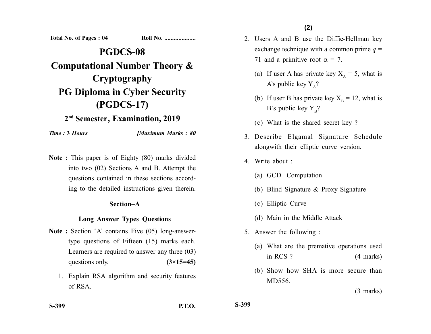**Total No. of Pages : 04 Roll No. ....................**

# **PGDCS-08 Computational Number Theory & Cryptography PG Diploma in Cyber Security (PGDCS-17)**

## **2nd Semester, Examination, 2019**

*Time :* **3** *Hours [Maximum Marks : 80*

**Note :** This paper is of Eighty (80) marks divided into two (02) Sections A and B. Attempt the questions contained in these sections according to the detailed instructions given therein.

#### **Section–A**

#### **Long Answer Types Questions**

- Note : Section 'A' contains Five (05) long-answertype questions of Fifteen (15) marks each. Learners are required to answer any three (03) questions only. **(3×15=45)** 
	- 1. Explain RSA algorithm and security features of RSA.
- 2. Users A and B use the Diffie-Hellman key exchange technique with a common prime  $q =$ 71 and a primitive root  $\alpha = 7$ .
	- (a) If user A has private key  $X_A = 5$ , what is A's public key  $Y_A$ ?
	- (b) If user B has private key  $X_B = 12$ , what is B's public key  $Y_B$ ?
	- (c) What is the shared secret key ?
- 3. Describe Elgamal Signature Schedule alongwith their elliptic curve version.
- 4. Write about :
	- (a) GCD Computation
	- (b) Blind Signature & Proxy Signature
	- (c) Elliptic Curve
	- (d) Main in the Middle Attack
- 5. Answer the following :
	- (a) What are the premative operations used in RCS ? (4 marks)
	- (b) Show how SHA is more secure than MD556.

(3 marks)

**S-399 P.T.O.**

**S-399**